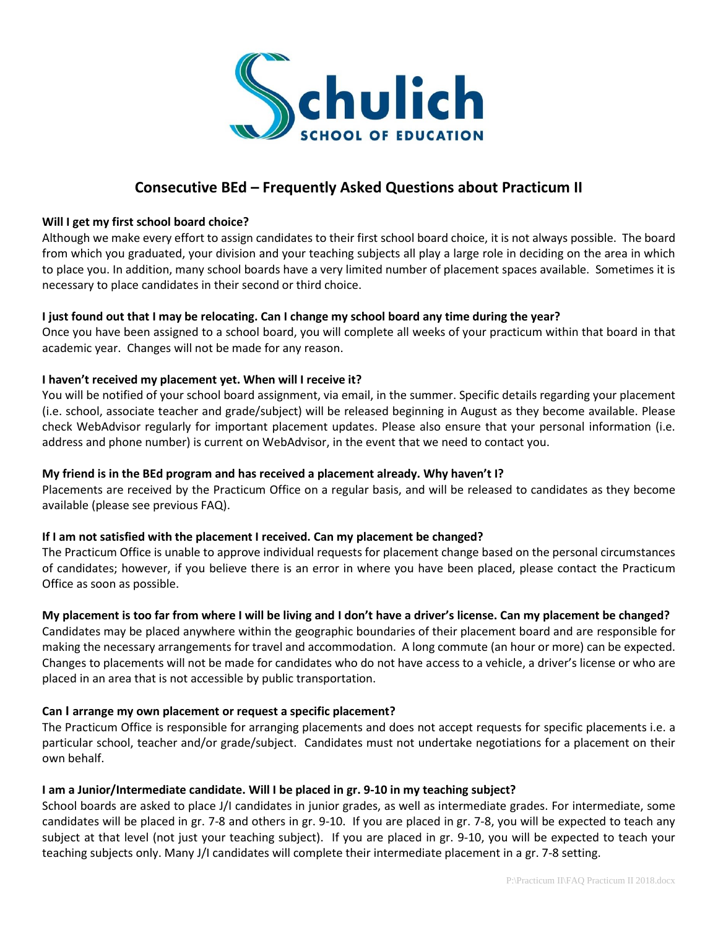

# **Consecutive BEd – Frequently Asked Questions about Practicum II**

#### **Will I get my first school board choice?**

Although we make every effort to assign candidates to their first school board choice, it is not always possible. The board from which you graduated, your division and your teaching subjects all play a large role in deciding on the area in which to place you. In addition, many school boards have a very limited number of placement spaces available. Sometimes it is necessary to place candidates in their second or third choice.

### **I just found out that I may be relocating. Can I change my school board any time during the year?**

Once you have been assigned to a school board, you will complete all weeks of your practicum within that board in that academic year. Changes will not be made for any reason.

### **I haven't received my placement yet. When will I receive it?**

You will be notified of your school board assignment, via email, in the summer. Specific details regarding your placement (i.e. school, associate teacher and grade/subject) will be released beginning in August as they become available. Please check WebAdvisor regularly for important placement updates. Please also ensure that your personal information (i.e. address and phone number) is current on WebAdvisor, in the event that we need to contact you.

### **My friend is in the BEd program and has received a placement already. Why haven't I?**

Placements are received by the Practicum Office on a regular basis, and will be released to candidates as they become available (please see previous FAQ).

### **If I am not satisfied with the placement I received. Can my placement be changed?**

The Practicum Office is unable to approve individual requests for placement change based on the personal circumstances of candidates; however, if you believe there is an error in where you have been placed, please contact the Practicum Office as soon as possible.

### **My placement is too far from where I will be living and I don't have a driver's license. Can my placement be changed?**

Candidates may be placed anywhere within the geographic boundaries of their placement board and are responsible for making the necessary arrangements for travel and accommodation. A long commute (an hour or more) can be expected. Changes to placements will not be made for candidates who do not have access to a vehicle, a driver's license or who are placed in an area that is not accessible by public transportation.

### **Can I arrange my own placement or request a specific placement?**

The Practicum Office is responsible for arranging placements and does not accept requests for specific placements i.e. a particular school, teacher and/or grade/subject. Candidates must not undertake negotiations for a placement on their own behalf.

### **I am a Junior/Intermediate candidate. Will I be placed in gr. 9-10 in my teaching subject?**

School boards are asked to place J/I candidates in junior grades, as well as intermediate grades. For intermediate, some candidates will be placed in gr. 7-8 and others in gr. 9-10. If you are placed in gr. 7-8, you will be expected to teach any subject at that level (not just your teaching subject). If you are placed in gr. 9-10, you will be expected to teach your teaching subjects only. Many J/I candidates will complete their intermediate placement in a gr. 7-8 setting.